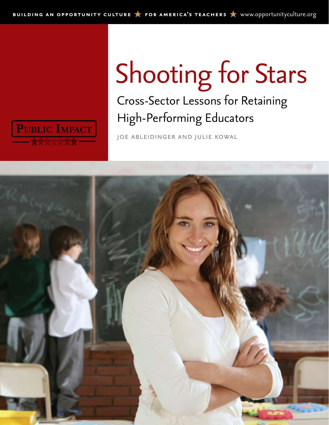<span id="page-0-0"></span>

## Shooting for Stars

## Cross-Sector Lessons for Retaining High-Performing Educators

joe ableidinger and julie kowal

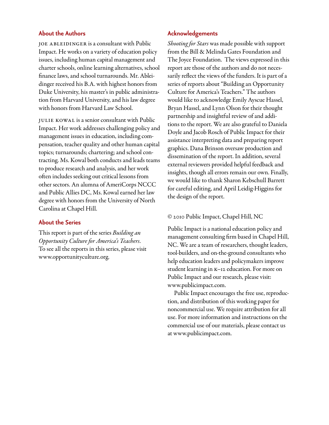#### **About the Authors**

JOE ABLEIDINGER is a consultant with Public Impact. He works on a variety of education policy issues, including human capital management and charter schools, online learning alternatives, school finance laws, and school turnarounds. Mr. Ableidinger received his B.A. with highest honors from Duke University, his master's in public administration from Harvard University, and his law degree with honors from Harvard Law School.

Julie Kowal is a senior consultant with Public Impact. Her work addresses challenging policy and management issues in education, including compensation, teacher quality and other human capital topics; turnarounds; chartering; and school contracting. Ms. Kowal both conducts and leads teams to produce research and analysis, and her work often includes seeking out critical lessons from other sectors. An alumna of AmeriCorps NCCC and Public Allies DC, Ms. Kowal earned her law degree with honors from the University of North Carolina at Chapel Hill.

#### **About the Series**

This report is part of the series *Building an Opportunity Culture for America's Teachers*. To see all the reports in this series, please visit <www.opportunityculture.org>.

#### **Acknowledgements**

*Shooting for Stars* was made possible with support from the Bill & Melinda Gates Foundation and The Joyce Foundation. The views expressed in this report are those of the authors and do not necessarily reflect the views of the funders. It is part of a series of reports about "Building an Opportunity Culture for America's Teachers." The authors would like to acknowledge Emily Ayscue Hassel, Bryan Hassel, and Lynn Olson for their thought partnership and insightful review of and additions to the report. We are also grateful to Daniela Doyle and Jacob Rosch of Public Impact for their assistance interpreting data and preparing report graphics. Dana Brinson oversaw production and dissemination of the report. In addition, several external reviewers provided helpful feedback and insights, though all errors remain our own. Finally, we would like to thank Sharon Kebschull Barrett for careful editing, and April Leidig-Higgins for the design of the report.

#### © 2010 Public Impact, Chapel Hill, NC

Public Impact is a national education policy and management consulting firm based in Chapel Hill, NC. We are a team of researchers, thought leaders, tool-builders, and on-the-ground consultants who help education leaders and policymakers improve student learning in K–12 education. For more on Public Impact and our research, please visit: <www.publicimpact.com>.

Public Impact encourages the free use, reproduction, and distribution of this working paper for noncommercial use. We require attribution for all use. For more information and instructions on the commercial use of our materials, please contact us at <www.publicimpact.com>.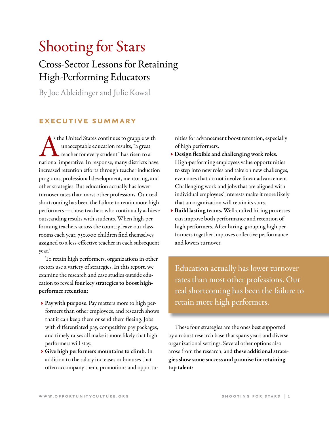## Shooting for Stars

## Cross-Sector Lessons for Retaining High-Performing Educators

By Joe Ableidinger and Julie Kowal

#### **executive summary**

s the United States continues to grapple with<br>unacceptable education results, "a great<br>teacher for every student" has risen to a<br>national imperative. In response, many districts have s the United States continues to grapple with unacceptable education results, "a great teacher for every student" has risen to a increased retention efforts through teacher induction programs, professional development, mentoring, and other strategies. But education actually has lower turnover rates than most other professions. Our real shortcoming has been the failure to retain more high performers—those teachers who continually achieve outstanding results with students. When high-performing teachers across the country leave our classrooms each year, 750,000 children find themselves assigned to a less-effective teacher in each subsequent year.<sup>1</sup>

To retain high performers, organizations in other sectors use a variety of strategies. In this report, we examine the research and case studies outside education to reveal four key strategies to boost highperformer retention:

- → Pay with purpose. Pay matters more to high performers than other employees, and research shows that it can keep them or send them fleeing. Jobs with differentiated pay, competitive pay packages, and timely raises all make it more likely that high performers will stay.
- → Give high performers mountains to climb. In addition to the salary increases or bonuses that often accompany them, promotions and opportu-

nities for advancement boost retention, especially of high performers.

- → Design flexible and challenging work roles. High-performing employees value opportunities to step into new roles and take on new challenges, even ones that do not involve linear advancement. Challenging work and jobs that are aligned with individual employees' interests make it more likely that an organization will retain its stars.
- → Build lasting teams. Well-crafted hiring processes can improve both performance and retention of high performers. After hiring, grouping high performers together improves collective performance and lowers turnover.

Education actually has lower turnover rates than most other professions. Our real shortcoming has been the failure to retain more high performers.

These four strategies are the ones best supported by a robust research base that spans years and diverse organizational settings. Several other options also arose from the research, and these additional strategies show some success and promise for retaining top talent: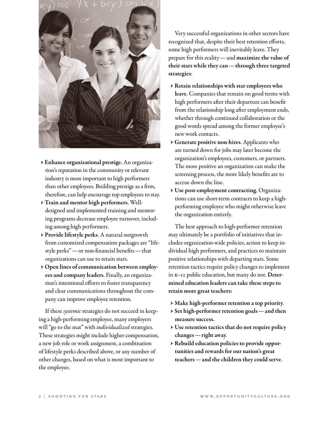

- → Enhance organizational prestige. An organization's reputation in the community or relevant industry is more important to high performers than other employees. Building prestige as a firm, therefore, can help encourage top employees to stay.
- → Train and mentor high performers. Welldesigned and implemented training and mentoring programs decrease employee turnover, including among high performers.
- → Provide lifestyle perks. A natural outgrowth from customized compensation packages are "lifestyle perks"—or non-financial benefits—that organizations can use to retain stars.
- → Open lines of communication between employees and company leaders. Finally, an organization's intentional efforts to foster transparency and clear communications throughout the company can improve employee retention.

If these *systemic* strategies do not succeed in keeping a high-performing employee, many employers will "go to the mat" with *individualized* strategies. These strategies might include higher compensation, a new job role or work assignment, a combination of lifestyle perks described above, or any number of other changes, based on what is most important to the employee.

Very successful organizations in other sectors have recognized that, despite their best retention efforts, some high performers will inevitably leave. They prepare for this reality—and maximize the value of their stars while they can—through three targeted strategies:

- → Retain relationships with star employees who leave. Companies that remain on good terms with high performers after their departure can benefit from the relationship long after employment ends, whether through continued collaboration or the good words spread among the former employee's new work contacts.
- → Generate positive non-hires. Applicants who are turned down for jobs may later become the organization's employees, customers, or partners. The more positive an organization can make the screening process, the more likely benefits are to accrue down the line.
- → Use post-employment contracting. Organizations can use short-term contracts to keep a highperforming employee who might otherwise leave the organization entirely.

The best approach to high-performer retention may ultimately be a portfolio of initiatives that includes organization-wide policies, action to keep individual high performers, and practices to maintain positive relationships with departing stars. Some retention tactics require policy changes to implement in K–12 public education, but many do not. Determined education leaders can take these steps to retain more great teachers:

- → Make high-performer retention a top priority.
- $\triangleright$  Set high-performer retention goals and then measure success.
- → Use retention tactics that do not require policy changes—right away.
- → Rebuild education policies to provide opportunities and rewards for our nation's great teachers—and the children they could serve.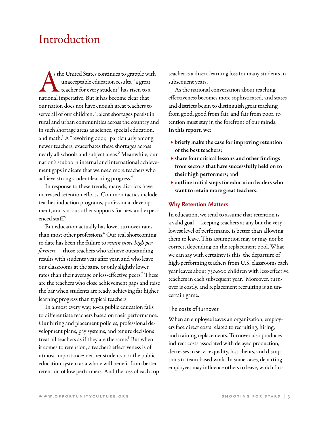### Introduction

A s the United States continues to grapple with unacceptable education results, "a great teacher for every student" has risen to a national imperative. But it has become clear that s the United States continues to grapple with unacceptable education results, "a great teacher for every student" has risen to a our nation does not have enough great teachers to serve all of our children. Talent shortages persist in rural and urban communities across the country and in such shortage areas as science, special education, and math.<sup>2</sup> A "revolving door," particularly among newer teachers, exacerbates these shortages across nearly all schools and subject areas.3 Meanwhile, our nation's stubborn internal and international achievement gaps indicate that we need more teachers who achieve strong student-learning progress.4

In response to these trends, many districts have increased retention efforts. Common tactics include teacher induction programs, professional development, and various other supports for new and experienced staff. $5$ 

But education actually has lower turnover rates than most other professions.<sup>6</sup> Our real shortcoming to date has been the failure to *retain more high performers*—those teachers who achieve outstanding results with students year after year, and who leave our classrooms at the same or only slightly lower rates than their average or less-effective peers.<sup>7</sup> These are the teachers who close achievement gaps and raise the bar when students are ready, achieving far higher learning progress than typical teachers.

In almost every way, K–12 public education fails to differentiate teachers based on their performance. Our hiring and placement policies, professional development plans, pay systems, and tenure decisions treat all teachers as if they are the same.<sup>8</sup> But when it comes to retention, a teacher's effectiveness is of utmost importance: neither students nor the public education system as a whole will benefit from better retention of low performers. And the loss of each top teacher is a direct learning loss for many students in subsequent years.

As the national conversation about teaching effectiveness becomes more sophisticated, and states and districts begin to distinguish great teaching from good, good from fair, and fair from poor, retention must stay in the forefront of our minds. In this report, we:

- → briefly make the case for improving retention of the best teachers;
- → share four critical lessons and other findings from sectors that have successfully held on to their high performers; and
- → outline initial steps for education leaders who want to retain more great teachers.

#### **Why Retention Matters**

In education, we tend to assume that retention is a valid goal—keeping teachers at any but the very lowest level of performance is better than allowing them to leave. This assumption may or may not be correct, depending on the replacement pool. What we can say with certainty is this: the departure of high-performing teachers from U.S. classrooms each year leaves about 750,000 children with less-effective teachers in each subsequent year.<sup>9</sup> Moreover, turnover is costly, and replacement recruiting is an uncertain game.

#### The costs of turnover

When an employee leaves an organization, employers face direct costs related to recruiting, hiring, and training replacements. Turnover also produces indirect costs associated with delayed production, decreases in service quality, lost clients, and disruptions to team-based work. In some cases, departing employees may influence others to leave, which fur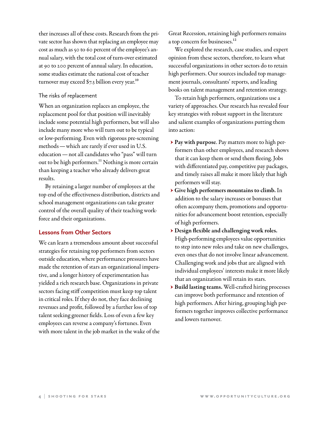ther increases all of these costs. Research from the private sector has shown that replacing an employee may cost as much as 50 to 60 percent of the employee's annual salary, with the total cost of turn-over estimated at 90 to 200 percent of annual salary. In education, some studies estimate the national cost of teacher turnover may exceed  $\S$ 7.3 billion every year.<sup>10</sup>

#### The risks of replacement

When an organization replaces an employee, the replacement pool for that position will inevitably include some potential high performers, but will also include many more who will turn out to be typical or low-performing. Even with rigorous pre-screening methods—which are rarely if ever used in U.S. education—not all candidates who "pass" will turn out to be high performers.<sup>11</sup> Nothing is more certain than keeping a teacher who already delivers great results.

By retaining a larger number of employees at the top end of the effectiveness distribution, districts and school management organizations can take greater control of the overall quality of their teaching workforce and their organizations.

#### **Lessons from Other Sectors**

We can learn a tremendous amount about successful strategies for retaining top performers from sectors outside education, where performance pressures have made the retention of stars an organizational imperative, and a longer history of experimentation has yielded a rich research base. Organizations in private sectors facing stiff competition must keep top talent in critical roles. If they do not, they face declining revenues and profit, followed by a further loss of top talent seeking greener fields. Loss of even a few key employees can reverse a company's fortunes. Even with more talent in the job market in the wake of the Great Recession, retaining high performers remains a top concern for businesses.<sup>12</sup>

We explored the research, case studies, and expert opinion from these sectors, therefore, to learn what successful organizations in other sectors do to retain high performers. Our sources included top management journals, consultants' reports, and leading books on talent management and retention strategy.

To retain high performers, organizations use a variety of approaches. Our research has revealed four key strategies with robust support in the literature and salient examples of organizations putting them into action:

- → Pay with purpose. Pay matters more to high performers than other employees, and research shows that it can keep them or send them fleeing. Jobs with differentiated pay, competitive pay packages, and timely raises all make it more likely that high performers will stay.
- → Give high performers mountains to climb. In addition to the salary increases or bonuses that often accompany them, promotions and opportunities for advancement boost retention, especially of high performers.
- → Design flexible and challenging work roles. High-performing employees value opportunities to step into new roles and take on new challenges, even ones that do not involve linear advancement. Challenging work and jobs that are aligned with individual employees' interests make it more likely that an organization will retain its stars.
- → Build lasting teams. Well-crafted hiring processes can improve both performance and retention of high performers. After hiring, grouping high performers together improves collective performance and lowers turnover.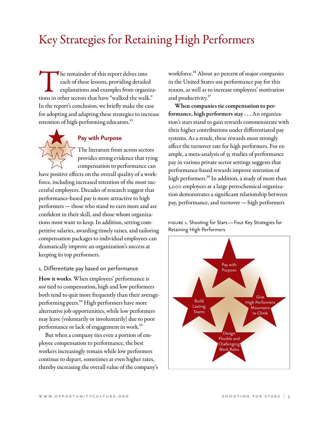## Key Strategies for Retaining High Performers

The remainder of this report delves into<br>
each of these lessons, providing detailed<br>
explanations and examples from organiza<br>
tions in other sectors that have "walked the walk." each of these lessons, providing detailed explanations and examples from organiza-In the report's conclusion, we briefly make the case for adopting and adapting these strategies to increase retention of high-performing educators.<sup>13</sup>

# $\bigstar$

#### **Pay with Purpose**

The literature from across sectors provides strong evidence that tying compensation to performance can

have positive effects on the overall quality of a workforce, including increased retention of the most successful employees. Decades of research suggest that performance-based pay is more attractive to high performers—those who stand to earn more and are confident in their skill, and those whom organizations most want to keep. In addition, setting competitive salaries, awarding timely raises, and tailoring compensation packages to individual employees can dramatically improve an organization's success at keeping its top performers.

#### 1. Differentiate pay based on performance

How it works. When employees' performance is *not* tied to compensation, high and low performers both tend to quit more frequently than their averageperforming peers.<sup>14</sup> High performers have more alternative job opportunities, while low performers may leave (voluntarily or involuntarily) due to poor performance or lack of engagement in work.<sup>15</sup>

But when a company ties even a portion of employee compensation to performance, the best workers increasingly remain while low performers continue to depart, sometimes at even higher rates, thereby increasing the overall value of the company's workforce.<sup>16</sup> About 90 percent of major companies in the United States use performance pay for this reason, as well as to increase employees' motivation and productivity.<sup>17</sup>

When companies tie compensation to performance, high performers stay . . . An organization's stars stand to gain rewards commensurate with their higher contributions under differentiated pay systems. As a result, these rewards most strongly affect the turnover rate for high performers. For example, a meta-analysis of 55 studies of performance pay in various private sector settings suggests that performance-based rewards improve retention of high performers.<sup>18</sup> In addition, a study of more than 5,000 employees at a large petrochemical organization demonstrates a significant relationship between pay, performance, and turnover—high performers

figure 1. Shooting for Stars—Four Key Strategies for Retaining High Performers

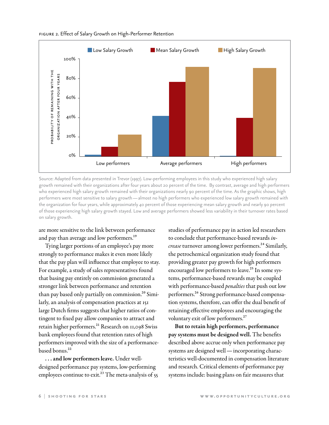

figure 2. Effect of Salary Growth on High-Performer Retention

Source: Adapted from data presented in Trevor (1997). Low-performing employees in this study who experienced high salary growth remained with their organizations after four years about 20 percent of the time. By contrast, average and high performers who experienced high salary growth remained with their organizations nearly 90 percent of the time. As the graphic shows, high performers were most sensitive to salary growth—almost no high performers who experienced low salary growth remained with the organization for four years, while approximately 40 percent of those experiencing mean salary growth and nearly 90 percent of those experiencing high salary growth stayed. Low and average performers showed less variability in their turnover rates based on salary growth.

are more sensitive to the link between performance and pay than average and low performers.<sup>19</sup>

Tying larger portions of an employee's pay more strongly to performance makes it even more likely that the pay plan will influence that employee to stay. For example, a study of sales representatives found that basing pay entirely on commission generated a stronger link between performance and retention than pay based only partially on commission.<sup>20</sup> Similarly, an analysis of compensation practices at 151 large Dutch firms suggests that higher ratios of contingent to fixed pay allow companies to attract and retain higher performers.<sup>21</sup> Research on 11,098 Swiss bank employees found that retention rates of high performers improved with the size of a performancebased bonus.<sup>22</sup>

... and low performers leave. Under welldesigned performance pay systems, low-performing employees continue to exit.<sup>23</sup> The meta-analysis of  $55$  studies of performance pay in action led researchers to conclude that performance-based rewards *increase* turnover among lower performers.<sup>24</sup> Similarly, the petrochemical organization study found that providing greater pay growth for high performers encouraged low performers to leave.<sup>25</sup> In some systems, performance-based rewards may be coupled with performance-based *penalties* that push out low performers.26 Strong performance-based compensation systems, therefore, can offer the dual benefit of retaining effective employees and encouraging the voluntary exit of low performers.<sup>27</sup>

But to retain high performers, performance pay systems must be designed well. The benefits described above accrue only when performance pay systems are designed well—incorporating characteristics well-documented in compensation literature and research. Critical elements of performance pay systems include: basing plans on fair measures that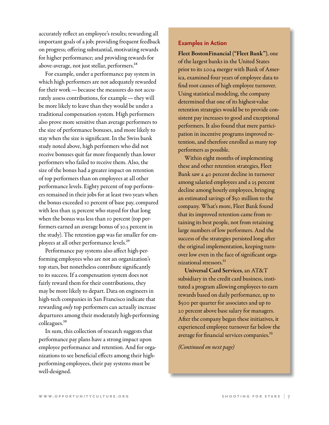accurately reflect an employee's results; rewarding all important goals of a job; providing frequent feedback on progress; offering substantial, motivating rewards for higher performance; and providing rewards for above-average, not just stellar, performers.28

For example, under a performance pay system in which high performers are not adequately rewarded for their work—because the measures do not accurately assess contributions, for example—they will be more likely to leave than they would be under a traditional compensation system. High performers also prove more sensitive than average performers to the size of performance bonuses, and more likely to stay when the size is significant. In the Swiss bank study noted above, high performers who did not receive bonuses quit far more frequently than lower performers who failed to receive them. Also, the size of the bonus had a greater impact on retention of top performers than on employees at all other performance levels. Eighty percent of top performers remained in their jobs for at least two years when the bonus exceeded 10 percent of base pay, compared with less than 35 percent who stayed for that long when the bonus was less than 10 percent (top performers earned an average bonus of 30.5 percent in the study). The retention gap was far smaller for employees at all other performance levels.<sup>29</sup>

Performance pay systems also affect high-performing employees who are not an organization's top stars, but nonetheless contribute significantly to its success. If a compensation system does not fairly reward them for their contributions, they may be more likely to depart. Data on engineers in high-tech companies in San Francisco indicate that rewarding *only* top performers can actually increase departures among their moderately high-performing colleagues.30

In sum, this collection of research suggests that performance pay plans have a strong impact upon employee performance and retention. And for organizations to see beneficial effects among their highperforming employees, their pay systems must be well-designed.

#### **Examples in Action**

Fleet BostonFinancial ("Fleet Bank"), one of the largest banks in the United States prior to its 2004 merger with Bank of America, examined four years of employee data to find root causes of high employee turnover. Using statistical modeling, the company determined that one of its highest-value retention strategies would be to provide consistent pay increases to good and exceptional performers. It also found that mere participation in incentive programs improved retention, and therefore enrolled as many top performers as possible.

Within eight months of implementing these and other retention strategies, Fleet Bank saw a 40 percent decline in turnover among salaried employees and a 25 percent decline among hourly employees, bringing an estimated savings of \$50 million to the company. What's more, Fleet Bank found that its improved retention came from retaining its best people, not from retaining large numbers of low performers. And the success of the strategies persisted long after the original implementation, keeping turnover low even in the face of significant organizational stressors.<sup>31</sup>

Universal Card Services, an AT&T subsidiary in the credit card business, instituted a program allowing employees to earn rewards based on daily performance, up to \$500 per quarter for associates and up to 20 percent above base salary for managers. After the company began these initiatives, it experienced employee turnover far below the average for financial services companies.<sup>32</sup>

*(Continued on next page)*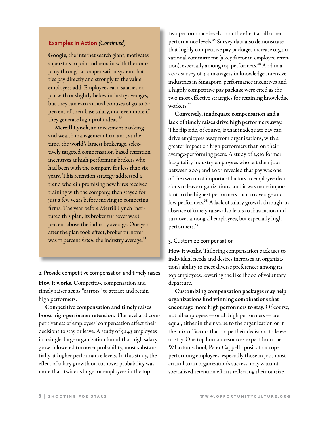#### **Examples in Action** *(Continued)*

Google, the internet search giant, motivates superstars to join and remain with the company through a compensation system that ties pay directly and strongly to the value employees add. Employees earn salaries on par with or slightly below industry averages, but they can earn annual bonuses of 30 to 60 percent of their base salary, and even more if they generate high-profit ideas.<sup>33</sup>

Merrill Lynch, an investment banking and wealth management firm and, at the time, the world's largest brokerage, selectively targeted compensation-based retention incentives at high-performing brokers who had been with the company for less than six years. This retention strategy addressed a trend wherein promising new hires received training with the company, then stayed for just a few years before moving to competing firms. The year before Merrill Lynch instituted this plan, its broker turnover was 8 percent above the industry average. One year after the plan took effect, broker turnover was 11 percent *below* the industry average.<sup>34</sup>

2. Provide competitive compensation and timely raises

How it works. Competitive compensation and timely raises act as "carrots" to attract and retain high performers.

Competitive compensation and timely raises boost high-performer retention. The level and competitiveness of employees' compensation affect their decisions to stay or leave. A study of 5,143 employees in a single, large organization found that high salary growth lowered turnover probability, most substantially at higher performance levels. In this study, the effect of salary growth on turnover probability was more than twice as large for employees in the top

two performance levels than the effect at all other performance levels.<sup>35</sup> Survey data also demonstrate that highly competitive pay packages increase organizational commitment (a key factor in employee retention), especially among top performers.<sup>36</sup> And in a 2003 survey of 44 managers in knowledge-intensive industries in Singapore, performance incentives and a highly competitive pay package were cited as the two most effective strategies for retaining knowledge workers.<sup>37</sup>

Conversely, inadequate compensation and a lack of timely raises drive high performers away. The flip side, of course, is that inadequate pay can drive employees away from organizations, with a greater impact on high performers than on their average-performing peers. A study of 2,510 former hospitality industry employees who left their jobs between 2003 and 2005 revealed that pay was one of the two most important factors in employee decisions to leave organizations, and it was more important to the highest performers than to average and low performers.<sup>38</sup> A lack of salary growth through an absence of timely raises also leads to frustration and turnover among all employees, but especially high performers.39

#### 3. Customize compensation

How it works. Tailoring compensation packages to individual needs and desires increases an organization's ability to meet diverse preferences among its top employees, lowering the likelihood of voluntary departure.

Customizing compensation packages may help organizations find winning combinations that encourage more high performers to stay. Of course, not all employees—or all high performers—are equal, either in their value to the organization or in the mix of factors that shape their decisions to leave or stay. One top human resources expert from the Wharton school, Peter Cappelli, posits that topperforming employees, especially those in jobs most critical to an organization's success, may warrant specialized retention efforts reflecting their outsize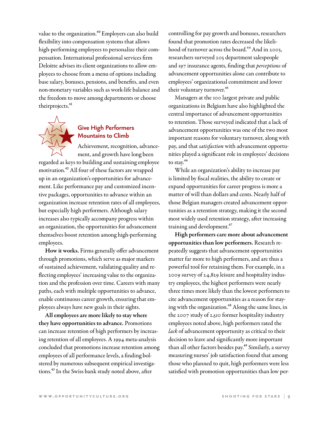value to the organization.<sup>40</sup> Employers can also build flexibility into compensation systems that allows high-performing employees to personalize their compensation. International professional services firm Deloitte advises its client organizations to allow employees to choose from a menu of options including base salary, bonuses, pensions, and benefits, and even non-monetary variables such as work-life balance and the freedom to move among departments or choose theirprojects.<sup>41</sup>



#### **Give High Performers Mountains to Climb**

Achievement, recognition, advancement, and growth have long been regarded as keys to building and sustaining employee motivation.42 All four of these factors are wrapped up in an organization's opportunities for advancement. Like performance pay and customized incentive packages, opportunities to advance within an organization increase retention rates of all employees, but especially high performers. Although salary increases also typically accompany progress within an organization, the opportunities for advancement themselves boost retention among high-performing employees.

How it works. Firms generally offer advancement through promotions, which serve as major markers of sustained achievement, validating quality and reflecting employees' increasing value to the organization and the profession over time. Careers with many paths, each with multiple opportunities to advance, enable continuous career growth, ensuring that employees always have new goals in their sights.

All employees are more likely to stay where they have opportunities to advance. Promotions can increase retention of high performers by increasing retention of all employees. A 1994 meta-analysis concluded that promotions increase retention among employees of all performance levels, a finding bolstered by numerous subsequent empirical investigations.43 In the Swiss bank study noted above, after

controlling for pay growth and bonuses, researchers found that promotion rates decreased the likelihood of turnover across the board.<sup>44</sup> And in 2003, researchers surveyed 205 department salespeople and 197 insurance agents, finding that *perceptions* of advancement opportunities alone can contribute to employees' organizational commitment and lower their voluntary turnover.<sup>45</sup>

Managers at the 100 largest private and public organizations in Belgium have also highlighted the central importance of advancement opportunities to retention. Those surveyed indicated that a lack of advancement opportunities was one of the two most important reasons for voluntary turnover, along with pay, and that *satisfaction* with advancement opportunities played a significant role in employees' decisions to stay.<sup>46</sup>

While an organization's ability to increase pay is limited by fiscal realities, the ability to create or expand opportunities for career progress is more a matter of will than dollars and cents. Nearly half of those Belgian managers created advancement opportunities as a retention strategy, making it the second most widely used retention strategy, after increasing training and development.<sup>47</sup>

High performers care more about advancement opportunities than low performers. Research repeatedly suggests that advancement opportunities matter far more to high performers, and are thus a powerful tool for retaining them. For example, in a 2009 survey of 24,829 leisure and hospitality industry employees, the highest performers were nearly three times more likely than the lowest performers to cite advancement opportunities as a reason for staying with the organization.<sup>48</sup> Along the same lines, in the 2007 study of 2,510 former hospitality industry employees noted above, high performers rated the *lack* of advancement opportunity as critical to their decision to leave and significantly more important than all other factors besides pay.<sup>49</sup> Similarly, a survey measuring nurses' job satisfaction found that among those who planned to quit, high performers were less satisfied with promotion opportunities than low per-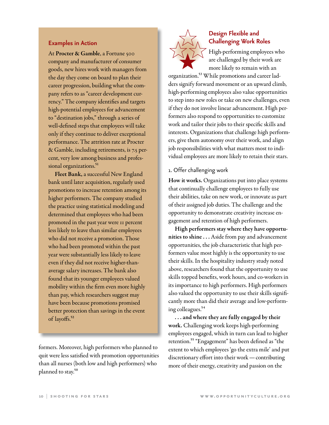#### **Examples in Action**

At Procter & Gamble, a Fortune 500 company and manufacturer of consumer goods, new hires work with managers from the day they come on board to plan their career progression, building what the company refers to as "career development currency." The company identifies and targets high-potential employees for advancement to "destination jobs," through a series of well-defined steps that employees will take only if they continue to deliver exceptional performance. The attrition rate at Procter & Gamble, including retirements, is 7.5 percent, very low among business and professional organizations.<sup>51</sup>

Fleet Bank, a successful New England bank until later acquisition, regularly used promotions to increase retention among its higher performers. The company studied the practice using statistical modeling and determined that employees who had been promoted in the past year were 11 percent less likely to leave than similar employees who did not receive a promotion. Those who had been promoted within the past year were substantially less likely to leave even if they did not receive higher-thanaverage salary increases. The bank also found that its younger employees valued mobility within the firm even more highly than pay, which researchers suggest may have been because promotions promised better protection than savings in the event of layoffs.<sup>52</sup>

formers. Moreover, high performers who planned to quit were less satisfied with promotion opportunities than all nurses (both low and high performers) who planned to stay.<sup>50</sup>



#### **Design Flexible and Challenging Work Roles**

High-performing employees who are challenged by their work are more likely to remain with an

organization.53 While promotions and career ladders signify forward movement or an upward climb, high-performing employees also value opportunities to step into new roles or take on new challenges, even if they do not involve linear advancement. High performers also respond to opportunities to customize work and tailor their jobs to their specific skills and interests. Organizations that challenge high performers, give them autonomy over their work, and align job responsibilities with what matters most to individual employees are more likely to retain their stars.

#### 1. Offer challenging work

How it works. Organizations put into place systems that continually challenge employees to fully use their abilities, take on new work, or innovate as part of their assigned job duties. The challenge and the opportunity to demonstrate creativity increase engagement and retention of high performers.

High performers stay where they have opportunities to shine . . . Aside from pay and advancement opportunities, the job characteristic that high performers value most highly is the opportunity to use their skills. In the hospitality industry study noted above, researchers found that the opportunity to use skills topped benefits, work hours, and co-workers in its importance to high performers. High performers also valued the opportunity to use their skills significantly more than did their average and low-performing colleagues.54

. . . and where they are fully engaged by their work. Challenging work keeps high-performing employees engaged, which in turn can lead to higher retention.55 "Engagement" has been defined as "the extent to which employees 'go the extra mile' and put discretionary effort into their work—contributing more of their energy, creativity and passion on the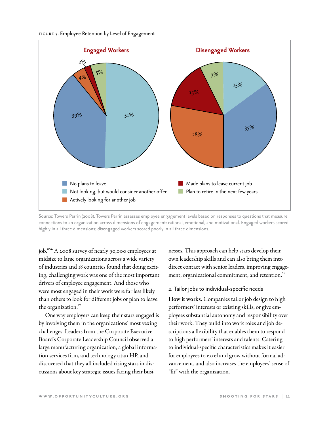

Source: Towers Perrin (2008). Towers Perrin assesses employee engagement levels based on responses to questions that measure connections to an organization across dimensions of engagement: rational, emotional, and motivational. Engaged workers scored highly in all three dimensions; disengaged workers scored poorly in all three dimensions.

job."56 A 2008 survey of nearly 90,000 employees at midsize to large organizations across a wide variety of industries and 18 countries found that doing exciting, challenging work was one of the most important drivers of employee engagement. And those who were most engaged in their work were far less likely than others to look for different jobs or plan to leave the organization.<sup>57</sup>

One way employers can keep their stars engaged is by involving them in the organizations' most vexing challenges. Leaders from the Corporate Executive Board's Corporate Leadership Council observed a large manufacturing organization, a global information services firm, and technology titan HP, and discovered that they all included rising stars in discussions about key strategic issues facing their busi-

nesses. This approach can help stars develop their own leadership skills and can also bring them into direct contact with senior leaders, improving engagement, organizational commitment, and retention.<sup>58</sup>

#### 2. Tailor jobs to individual-specific needs

How it works. Companies tailor job design to high performers' interests or existing skills, or give employees substantial autonomy and responsibility over their work. They build into work roles and job descriptions a flexibility that enables them to respond to high performers' interests and talents. Catering to individual-specific characteristics makes it easier for employees to excel and grow without formal advancement, and also increases the employees' sense of "fit" with the organization.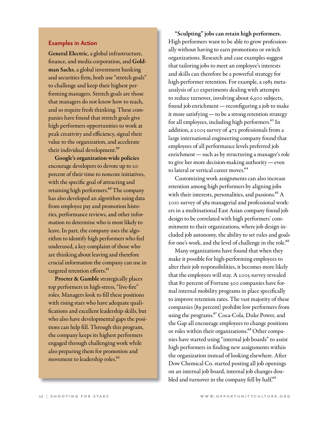#### **Examples in Action**

General Electric, a global infrastructure, finance, and media corporation, and Goldman Sachs, a global investment banking and securities firm, both use "stretch goals" to challenge and keep their highest performing managers. Stretch goals are those that managers do not know how to reach, and so require fresh thinking. These companies have found that stretch goals give high performers opportunities to work at peak creativity and efficiency, signal their value to the organization, and accelerate their individual development.<sup>59</sup>

Google's organization-wide policies encourage developers to devote up to 20 percent of their time to noncore initiatives, with the specific goal of attracting and retaining high performers.<sup>60</sup> The company has also developed an algorithm using data from employee pay and promotion histories, performance reviews, and other information to determine who is most likely to leave. In part, the company uses the algorithm to identify high performers who feel underused, a key complaint of those who are thinking about leaving and therefore crucial information the company can use in targeted retention efforts.<sup>61</sup>

Procter & Gamble strategically places top performers in high-stress, "live-fire" roles. Managers look to fill these positions with rising stars who have adequate qualifications and excellent leadership skills, but who also have developmental gaps the positions can help fill. Through this program, the company keeps its highest performers engaged through challenging work while also preparing them for promotion and movement to leadership roles.<sup>62</sup>

"Sculpting" jobs can retain high performers. High performers want to be able to grow professionally without having to earn promotions or switch organizations. Research and case examples suggest that tailoring jobs to meet an employee's interests and skills can therefore be a powerful strategy for high-performer retention. For example, a 1985 metaanalysis of 20 experiments dealing with attempts to reduce turnover, involving about 6,500 subjects, found job enrichment—reconfiguring a job to make it more satisfying—to be a strong retention strategy for all employees, including high performers.63 In addition, a 2005 survey of 472 professionals from a large international engineering company found that employees of all performance levels preferred job enrichment—such as by structuring a manager's role to give her more decision-making authority—even to lateral or vertical career moves.<sup>64</sup>

Customizing work assignments can also increase retention among high performers by aligning jobs with their interests, personalities, and passions.<sup>65</sup> A 2010 survey of 589 managerial and professional workers in a multinational East Asian company found job design to be correlated with high performers' commitment to their organizations, where job design included job autonomy, the ability to set rules and goals for one's work, and the level of challenge in the role.<sup>66</sup>

Many organizations have found that when they make it possible for high-performing employees to alter their job responsibilities, it becomes more likely that the employees will stay. A 2005 survey revealed that 80 percent of Fortune 500 companies have formal internal mobility programs in place specifically to improve retention rates. The vast majority of these companies (89 percent) prohibit low performers from using the programs.<sup>67</sup> Coca-Cola, Duke Power, and the Gap all encourage employees to change positions or roles within their organizations.<sup>68</sup> Other companies have started using "internal job boards" to assist high performers in finding new assignments within the organization instead of looking elsewhere. After Dow Chemical Co. started posting all job openings on an internal job board, internal job changes doubled and turnover in the company fell by half.<sup>69</sup>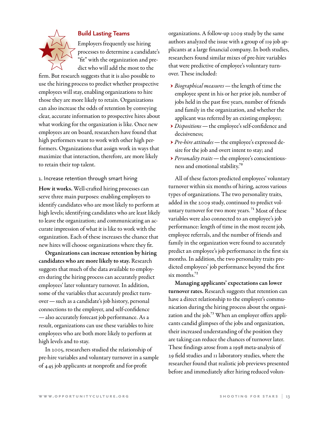

#### **Build Lasting Teams**

Employers frequently use hiring processes to determine a candidate's "fit" with the organization and predict who will add the most to the

firm. But research suggests that it is also possible to use the hiring process to predict whether prospective employees will stay, enabling organizations to hire those they are more likely to retain. Organizations can also increase the odds of retention by conveying clear, accurate information to prospective hires about what working for the organization is like. Once new employees are on board, researchers have found that high performers want to work with other high performers. Organizations that assign work in ways that maximize that interaction, therefore, are more likely to retain their top talent.

1. Increase retention through smart hiring

How it works. Well-crafted hiring processes can serve three main purposes: enabling employers to identify candidates who are most likely to perform at high levels; identifying candidates who are least likely to leave the organization; and communicating an accurate impression of what it is like to work with the organization. Each of these increases the chance that new hires will choose organizations where they fit.

Organizations can increase retention by hiring candidates who are more likely to stay. Research suggests that much of the data available to employers during the hiring process can accurately predict employees' later voluntary turnover. In addition, some of the variables that accurately predict turnover—such as a candidate's job history, personal connections to the employer, and self-confidence —also accurately forecast job performance. As a result, organizations can use these variables to hire employees who are both more likely to perform at high levels and to stay.

In 2005, researchers studied the relationship of pre-hire variables and voluntary turnover in a sample of 445 job applicants at nonprofit and for-profit

organizations. A follow-up 2009 study by the same authors analyzed the issue with a group of 119 job applicants at a large financial company. In both studies, researchers found similar mixes of pre-hire variables that were predictive of employee's voluntary turnover. These included:

- → *Biographical measures*—the length of time the employee spent in his or her prior job, number of jobs held in the past five years, number of friends and family in the organization, and whether the applicant was referred by an existing employee;
- → *Dispositions*—the employee's self-confidence and decisiveness;
- → *Pre-hire attitudes*—the employee's expressed desire for the job and overt intent to stay; and
- → *Personality traits*—the employee's conscientiousness and emotional stability.70

All of these factors predicted employees' voluntary turnover within six months of hiring, across various types of organizations. The two personality traits, added in the 2009 study, continued to predict voluntary turnover for two more years.<sup>71</sup> Most of these variables were also connected to an employee's job performance: length of time in the most recent job, employee referrals, and the number of friends and family in the organization were found to accurately predict an employee's job performance in the first six months. In addition, the two personality traits predicted employees' job performance beyond the first six months.<sup>72</sup>

Managing applicants' expectations can lower turnover rates. Research suggests that retention can have a direct relationship to the employer's communication during the hiring process about the organization and the job.<sup>73</sup> When an employer offers applicants candid glimpses of the jobs and organization, their increased understanding of the position they are taking can reduce the chances of turnover later. These findings arose from a 1998 meta-analysis of 29 field studies and 11 laboratory studies, where the researcher found that realistic job previews presented before and immediately after hiring reduced volun-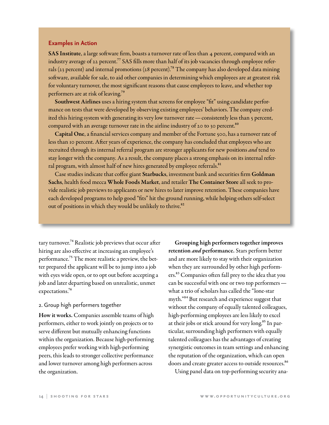#### **Examples in Action**

SAS Institute, a large software firm, boasts a turnover rate of less than 4 percent, compared with an industry average of 22 percent.<sup>77</sup> SAS fills more than half of its job vacancies through employee referrals (23 percent) and internal promotions (28 percent).<sup>78</sup> The company has also developed data mining software, available for sale, to aid other companies in determining which employees are at greatest risk for voluntary turnover, the most significant reasons that cause employees to leave, and whether top performers are at risk of leaving.79

Southwest Airlines uses a hiring system that screens for employee "fit" using candidate performance on tests that were developed by observing existing employees' behaviors. The company credited this hiring system with generating its very low turnover rate — consistently less than 5 percent, compared with an average turnover rate in the airline industry of 20 to 30 percent. $80$ 

Capital One, a financial services company and member of the Fortune 500, has a turnover rate of less than 10 percent. After years of experience, the company has concluded that employees who are recruited through its internal referral program are stronger applicants for new positions *and* tend to stay longer with the company. As a result, the company places a strong emphasis on its internal referral program, with almost half of new hires generated by employee referrals.<sup>81</sup>

Case studies indicate that coffee giant Starbucks, investment bank and securities firm Goldman Sachs, health food mecca Whole Foods Market, and retailer The Container Store all seek to provide realistic job previews to applicants or new hires to later improve retention. These companies have each developed programs to help good "fits" hit the ground running, while helping others self-select out of positions in which they would be unlikely to thrive.<sup>82</sup>

tary turnover.<sup>74</sup> Realistic job previews that occur after hiring are also effective at increasing an employee's performance.<sup>75</sup> The more realistic a preview, the better prepared the applicant will be to jump into a job with eyes wide open, or to opt out before accepting a job and later departing based on unrealistic, unmet expectations.76

#### 2. Group high performers together

How it works. Companies assemble teams of high performers, either to work jointly on projects or to serve different but mutually enhancing functions within the organization. Because high-performing employees prefer working with high-performing peers, this leads to stronger collective performance and lower turnover among high performers across the organization.

Grouping high performers together improves retention *and* performance. Stars perform better and are more likely to stay with their organization when they are surrounded by other high performers.83 Companies often fall prey to the idea that you can be successful with one or two top performers what a trio of scholars has called the "lone-star myth."84 But research and experience suggest that without the company of equally talented colleagues, high-performing employees are less likely to excel at their jobs or stick around for very long.<sup>85</sup> In particular, surrounding high performers with equally talented colleagues has the advantages of creating synergistic outcomes in team settings and enhancing the reputation of the organization, which can open doors and create greater access to outside resources.<sup>86</sup>

Using panel data on top-performing security ana-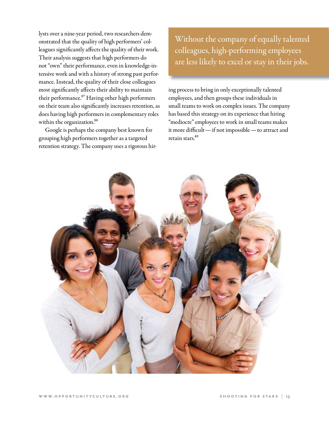lysts over a nine-year period, two researchers demonstrated that the quality of high performers' colleagues significantly affects the quality of their work. Their analysis suggests that high performers do not "own" their performance, even in knowledge-intensive work and with a history of strong past performance. Instead, the quality of their close colleagues most significantly affects their ability to maintain their performance.<sup>87</sup> Having other high performers on their team also significantly increases retention, as does having high performers in complementary roles within the organization.<sup>88</sup>

Google is perhaps the company best known for grouping high performers together as a targeted retention strategy. The company uses a rigorous hir-

Without the company of equally talented colleagues, high-performing employees are less likely to excel or stay in their jobs.

ing process to bring in only exceptionally talented employees, and then groups these individuals in small teams to work on complex issues. The company has based this strategy on its experience that hiring "mediocre" employees to work in small teams makes it more difficult—if not impossible—to attract and retain stars.<sup>89</sup>

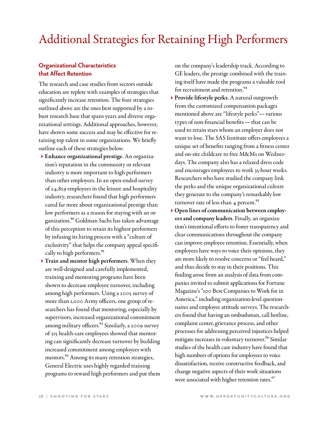## Additional Strategies for Retaining High Performers

#### **Organizational Characteristics that Affect Retention**

The research and case studies from sectors outside education are replete with examples of strategies that significantly increase retention. The four strategies outlined above are the ones best supported by a robust research base that spans years and diverse organizational settings. Additional approaches, however, have shown some success and may be effective for retaining top talent in some organizations. We briefly outline each of these strategies below.

- → Enhance organizational prestige. An organization's reputation in the community or relevant industry is more important to high performers than other employees. In an open-ended survey of 24,829 employees in the leisure and hospitality industry, researchers found that high performers cared far more about organizational prestige than low performers as a reason for staying with an organization.90 Goldman Sachs has taken advantage of this perception to retain its highest performers by infusing its hiring process with a "culture of exclusivity" that helps the company appeal specifically to high performers.<sup>91</sup>
- → Train and mentor high performers. When they are well-designed and carefully implemented, training and mentoring programs have been shown to decrease employee turnover, including among high performers. Using a 2005 survey of more than 1,000 Army officers, one group of researchers has found that mentoring, especially by supervisors, increased organizational commitment among military officers.<sup>92</sup> Similarly, a 2009 survey of 315 health-care employees showed that mentoring can significantly decrease turnover by building increased commitment among employees with mentors.<sup>93</sup> Among its many retention strategies, General Electric uses highly regarded training programs to reward high performers and put them

on the company's leadership track. According to GE leaders, the prestige combined with the training itself have made the programs a valuable tool for recruitment and retention.<sup>94</sup>

- → Provide lifestyle perks. A natural outgrowth from the customized compensation packages mentioned above are "lifestyle perks"—various types of non-financial benefits—that can be used to retain stars whom an employer does not want to lose. The SAS Institute offers employees a unique set of benefits ranging from a fitness center and on-site childcare to free M&Ms on Wednesdays. The company also has a relaxed dress code and encourages employees to work 35-hour weeks. Researchers who have studied the company link the perks and the unique organizational culture they generate to the company's remarkably low turnover rate of less than  $4$  percent.<sup>95</sup>
- → Open lines of communication between employees and company leaders. Finally, an organization's intentional efforts to foster transparency and clear communications throughout the company can improve employee retention. Essentially, when employees have ways to voice their opinions, they are more likely to resolve concerns or "feel heard," and thus decide to stay in their positions. This finding arose from an analysis of data from companies invited to submit applications for Fortune Magazine's "100 Best Companies to Work for in America," including organization-level questionnaires and employee attitude surveys. The researchers found that having an ombudsman, call hotline, complaint center, grievance process, and other processes for addressing perceived injustices helped mitigate increases in voluntary turnover.<sup>96</sup> Similar studies of the health care industry have found that high numbers of options for employees to voice dissatisfaction, receive constructive feedback, and change negative aspects of their work situations were associated with higher retention rates.<sup>97</sup>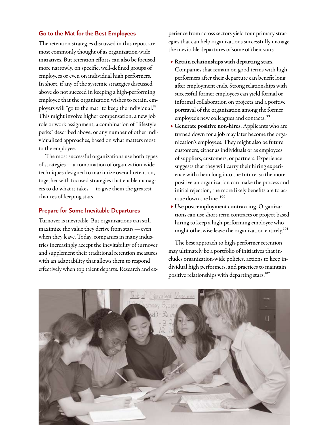#### **Go to the Mat for the Best Employees**

The retention strategies discussed in this report are most commonly thought of as organization-wide initiatives. But retention efforts can also be focused more narrowly, on specific, well-defined groups of employees or even on individual high performers. In short, if any of the systemic strategies discussed above do not succeed in keeping a high-performing employee that the organization wishes to retain, employers will "go to the mat" to keep the individual.<sup>98</sup> This might involve higher compensation, a new job role or work assignment, a combination of "lifestyle perks" described above, or any number of other individualized approaches, based on what matters most to the employee.

The most successful organizations use both types of strategies—a combination of organization-wide techniques designed to maximize overall retention, together with focused strategies that enable managers to do what it takes—to give them the greatest chances of keeping stars.

#### **Prepare for Some Inevitable Departures**

Turnover is inevitable. But organizations can still maximize the value they derive from stars—even when they leave. Today, companies in many industries increasingly accept the inevitability of turnover and supplement their traditional retention measures with an adaptability that allows them to respond effectively when top talent departs. Research and experience from across sectors yield four primary strategies that can help organizations successfully manage the inevitable departures of some of their stars.

- → Retain relationships with departing stars. Companies that remain on good terms with high performers after their departure can benefit long after employment ends. Strong relationships with successful former employees can yield formal or informal collaboration on projects and a positive portrayal of the organization among the former employee's new colleagues and contacts.<sup>99</sup>
- → Generate positive non-hires. Applicants who are turned down for a job may later become the organization's employees. They might also be future customers, either as individuals or as employees of suppliers, customers, or partners. Experience suggests that they will carry their hiring experience with them long into the future, so the more positive an organization can make the process and initial rejection, the more likely benefits are to accrue down the line.<sup>100</sup>
- → Use post-employment contracting. Organizations can use short-term contracts or project-based hiring to keep a high-performing employee who might otherwise leave the organization entirely.<sup>101</sup>

The best approach to high-performer retention may ultimately be a portfolio of initiatives that includes organization-wide policies, actions to keep individual high performers, and practices to maintain positive relationships with departing stars.<sup>102</sup>

![](_page_18_Picture_10.jpeg)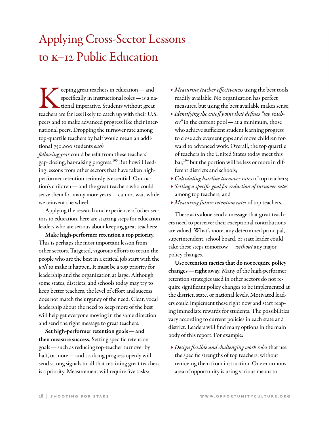## Applying Cross-Sector Lessons to k–12 Public Education

eeping great teachers in education—and specifically in instructional roles—is a national imperative. Students without great teachers are far less likely to catch up with their U.S. peers and to make advanced progress like their international peers. Dropping the turnover rate among top-quartile teachers by half would mean an additional 750,000 students *each* 

*following year* could benefit from these teachers' gap-closing, bar-raising progress.<sup>103</sup> But how? Heeding lessons from other sectors that have taken highperformer retention seriously is essential. Our nation's children—and the great teachers who could serve them for many more years—cannot wait while we reinvent the wheel.

Applying the research and experience of other sectors to education, here are starting steps for education leaders who are serious about keeping great teachers:

Make high-performer retention a top priority. This is perhaps the most important lesson from other sectors. Targeted, vigorous efforts to retain the people who are the best in a critical job start with the *will* to make it happen. It must be a top priority for leadership and the organization at large. Although some states, districts, and schools today may try to keep better teachers, the level of effort and success does not match the urgency of the need. Clear, vocal leadership about the need to keep more of the best will help get everyone moving in the same direction and send the right message to great teachers.

Set high-performer retention goals—and then measure success. Setting specific retention goals—such as reducing top-teacher turnover by half, or more—and tracking progress openly will send strong signals to all that retaining great teachers is a priority. Measurement will require five tasks:

- → *Measuring teacher effectiveness* using the best tools readily available. No organization has perfect measures, but using the best available makes sense;
- → *Identifying the cutoff point that defines "top teachers"* in the current pool—at a minimum, those who achieve sufficient student learning progress to close achievement gaps and move children forward to advanced work. Overall, the top quartile of teachers in the United States today meet this bar,<sup>104</sup> but the portion will be less or more in different districts and schools;
- → *Calculating baseline turnover rates* of top teachers;
- → *Setting a specific goal for reduction of turnover rates* among top teachers; and
- → *Measuring future retention rates* of top teachers.

These acts alone send a message that great teachers need to perceive: their exceptional contributions are valued. What's more, any determined principal, superintendent, school board, or state leader could take these steps tomorrow—*without* any major policy changes.

Use retention tactics that do not require policy changes—right away. Many of the high-performer retention strategies used in other sectors do not require significant policy changes to be implemented at the district, state, or national levels. Motivated leaders could implement these right now and start reaping immediate rewards for students. The possibilities vary according to current policies in each state and district. Leaders will find many options in the main body of this report. For example:

→ *Design flexible and challenging work roles* that use the specific strengths of top teachers, without removing them from instruction. One enormous area of opportunity is using various means to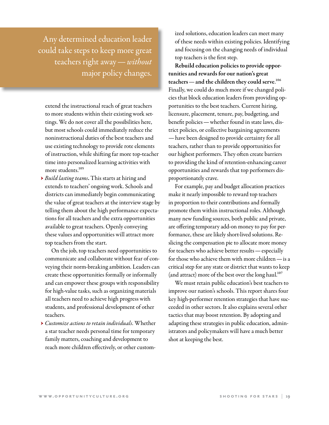Any determined education leader could take steps to keep more great teachers right away—*without* major policy changes.

extend the instructional reach of great teachers to more students within their existing work settings. We do not cover all the possibilities here, but most schools could immediately reduce the noninstructional duties of the best teachers and use existing technology to provide rote elements of instruction, while shifting far more top-teacher time into personalized learning activities with more students.<sup>105</sup>

→ *Build lasting teams*. This starts at hiring and extends to teachers' ongoing work. Schools and districts can immediately begin communicating the value of great teachers at the interview stage by telling them about the high performance expectations for all teachers and the extra opportunities available to great teachers. Openly conveying these values and opportunities will attract more top teachers from the start.

On the job, top teachers need opportunities to communicate and collaborate without fear of conveying their norm-breaking ambition. Leaders can create these opportunities formally or informally and can empower these groups with responsibility for high-value tasks, such as organizing materials all teachers need to achieve high progress with students, and professional development of other teachers.

→ *Customize actions to retain individuals*. Whether a star teacher needs personal time for temporary family matters, coaching and development to reach more children effectively, or other customized solutions, education leaders can meet many of these needs within existing policies. Identifying and focusing on the changing needs of individual top teachers is the first step.

Rebuild education policies to provide opportunities and rewards for our nation's great teachers — and the children they could serve.<sup>106</sup> Finally, we could do much more if we changed policies that block education leaders from providing opportunities to the best teachers. Current hiring, licensure, placement, tenure, pay, budgeting, and benefit policies—whether found in state laws, district policies, or collective bargaining agreements —have been designed to provide certainty for all teachers, rather than to provide opportunities for our highest performers. They often create barriers to providing the kind of retention-enhancing career opportunities and rewards that top performers disproportionately crave.

For example, pay and budget allocation practices make it nearly impossible to reward top teachers in proportion to their contributions and formally promote them within instructional roles. Although many new funding sources, both public and private, are offering temporary add-on money to pay for performance, these are likely short-lived solutions. Reslicing the compensation pie to allocate more money for teachers who achieve better results—especially for those who achieve them with more children—is a critical step for any state or district that wants to keep (and attract) more of the best over the long haul.<sup>107</sup>

We must retain public education's best teachers to improve our nation's schools. This report shares four key high-performer retention strategies that have succeeded in other sectors. It also explains several other tactics that may boost retention. By adopting and adapting these strategies in public education, administrators and policymakers will have a much better shot at keeping the best.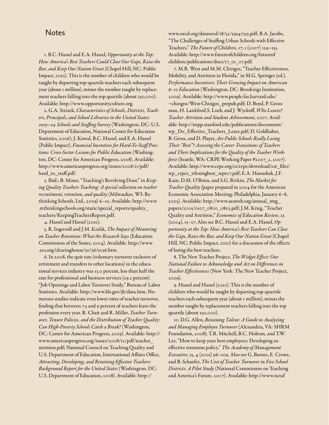#### **Notes**

1. B.C. Hassel and E.A. Hassel, *Opportunity at the Top: How America's Best Teachers Could Close Our Gaps, Raise the Bar, and Keep Our Nation Great* (Chapel Hill, NC: Public Impact, 2010). This is the number of children who would be taught by departing top-quartile teachers each subsequent year (about 1 million), minus the number taught by replacement teachers falling into the top quartile (about 250,000). Available:<http://www.opportunityculture.org>.

2. G.A. Strizek, *Characteristics of Schools, Districts, Teachers, Principals, and School Libraries in the United States: 2003–04 Schools and Staffing Survey* (Washington, DC: U.S. Department of Education, National Center for Education Statistics, 2006); J. Kowal, B.C. Hassel, and E.A. Hassel (Public Impact), *Financial Incentives for Hard-To-Staff Positions: Cross-Sector Lessons for Public Education* (Washington, DC: Center for American Progress, 2008). Available: [http://www.americanprogress.org/issues/2008/11/pdf/](http://www.americanprogress.org/issues/2008/11/pdf/hard_to_staff.pdf) [hard\\_to\\_staff.pdf](http://www.americanprogress.org/issues/2008/11/pdf/hard_to_staff.pdf).

3. Ibid.; B. Miner, "Teaching's Revolving Door," in *Keeping Quality Teachers Teaching: A special collection on teacher recruitment, retention, and quality* (Milwaukee, WI: Rethinking Schools, Ltd., 2009) 6–10. Available: [http://www](http://www.rethinkingschools.org/static/special_reports/quality_teachers/KeepingTeachersReport.pdf) [.rethinkingschools.org/static/special\\_reports/quality\\_](http://www.rethinkingschools.org/static/special_reports/quality_teachers/KeepingTeachersReport.pdf) [teachers/KeepingTeachersReport.pdf](http://www.rethinkingschools.org/static/special_reports/quality_teachers/KeepingTeachersReport.pdf).

4. Hassel and Hassel (2010).

5. R. Ingersoll and J.M. Kralik, *The Impact of Mentoring on Teacher Retention: What the Research Says* (Education Commission of the States, 2004). Available: [http://www](http://www.ecs.org/clearinghouse/50/36/5036.htm) [.ecs.org/clearinghouse/50/36/5036.htm](http://www.ecs.org/clearinghouse/50/36/5036.htm).

6. In 2008, the quit rate (voluntary turnover exclusive of retirement and transfers to other locations) in the educational services industry was 13.0 percent, less than half the rate for professional and business services (29.2 percent). "Job Openings and Labor Turnover Study," Bureau of Labor Statistics. Available: <http://www.bls.gov/jlt/data.htm>. Numerous studies indicate even lower rates of teacher turnover, finding that between 7.5 and 9 percent of teachers leave the profession every year. R. Chait and R. Miller, *Teacher Turnover, Tenure Policies, and the Distribution of Teacher Quality: Can High-Poverty Schools Catch a Break?* (Washington, DC: Center for American Progress, 2009). Available: [http://](http://www.americanprogress.org/issues/2008/12/pdf/teacher_attrition.pdf) [www.americanprogress.org/issues/2008/12/pdf/teacher\\_](http://www.americanprogress.org/issues/2008/12/pdf/teacher_attrition.pdf) [attrition.pdf](http://www.americanprogress.org/issues/2008/12/pdf/teacher_attrition.pdf); National Council on Teaching Quality and U.S. Department of Education, International Affairs Office, *Attracting, Developing, and Retaining Effective Teachers: Background Report for the United States* (Washington, DC: U.S. Department of Education, 2008). Available: [http://](http://www.oecd.org/dataoecd/18/52/33947533.pdf)

[www.oecd.org/dataoecd/18/52/33947533.pdf;](http://www.oecd.org/dataoecd/18/52/33947533.pdf) B.A. Jacobs, "The Challenges of Staffing Urban Schools with Effective Teachers," *The Future of Children*, 17, 1 (2007) 129–153. Available: [http://www.futureofchildren.org/futureof](http://www.futureofchildren.org/futureofchildren/publications/docs/17_01_07.pdf) [children/publications/docs/17\\_01\\_07.pdf.](http://www.futureofchildren.org/futureofchildren/publications/docs/17_01_07.pdf)

7. M.R. West and M.M. Chingos, "Teacher Effectiveness, Mobility, and Attrition in Florida," in M.G. Springer (ed.), *Performance Incentives: Their Growing Impact on American K–12 Education* (Washington, DC: Brookings Institution, 2009). Available: [http://www.people.fas.harvard.edu/](http://www.people.fas.harvard.edu/~chingos/West-Chingos_prepub.pdf) [~chingos/West-Chingos\\_prepub.pdf](http://www.people.fas.harvard.edu/~chingos/West-Chingos_prepub.pdf)*;* D. Boyd, P. Grossman, H. Lankford,S. Loeb, and J. Wyckoff, *Who Leaves? Teacher Attrition and Student Achievement,* 2007. Available: [http://irepp.stanford.edu/publications/documents/](http://irepp.stanford.edu/publications/documents/wp_Do_Effective_Teachers_Leave.pdf) [wp\\_Do\\_Effective\\_Teachers\\_Leave.pdf;](http://irepp.stanford.edu/publications/documents/wp_Do_Effective_Teachers_Leave.pdf) D. Goldhaber, B. Gross, and D. Player, *Are Public Schools Really Losing Their "Best"? Assessing the Career Transitions of Teachers and Their Implications for the Quality of the Teacher Workforce* (Seattle, WA: CRPE Working Paper #2007\_2, 2007). Available: [http://www.crpe.org/cs/crpe/download/csr\\_files/](http://www.crpe.org/cs/crpe/download/csr_files/wp_crpe2_ttlosingbest_sept07.pdf) [wp\\_crpe2\\_ttlosingbest\\_sept07.pdf;](http://www.crpe.org/cs/crpe/download/csr_files/wp_crpe2_ttlosingbest_sept07.pdf) E.A. Hanushek, J.F. Kain, D.M. O'Brien, and S.G. Rivkin, *The Market for Teacher Quality (*paper prepared in 2004 for the American Economic Association Meeting: Philadelphia, January 6–8, 2005). Available: [http://www.aeaweb.org/annual\\_mtg\\_](http://www.aeaweb.org/annual_mtg_papers/2005/0107_0800_0803.pdf) [papers/2005/0107\\_0800\\_0803.pdf](http://www.aeaweb.org/annual_mtg_papers/2005/0107_0800_0803.pdf); J.M. Krieg, "Teacher Quality and Attrition," *Economics of Education Review*, 25 (2004), 13–27. Also see B.C. Hassel and E.A. Hassel, *Opportunity at the Top: How America's Best Teachers Can Close the Gaps, Raise the Bar, and Keep Our Nation Great* (Chapel Hill, NC: Public Impact, 2010) for a discussion of the effects of losing the best teachers.

8. The New Teacher Project, *The Widget Effect: Our National Failure to Acknowledge and Act on Differences in Teacher Effectiveness* (New York: The New Teacher Project, 2009).

9. Hassel and Hassel (2010). This is the number of children who would be taught by departing top-quartile teachers each subsequent year (about 1 million), minus the number taught by replacement teachers falling into the top quartile (about 250,000).

10. D.G. Allen, *Retaining Talent: A Guide to Analyzing and Managing Employee Turnover* (Alexandria, VA: SHRM Foundation, 2008); T.R. Mitchell, B.C. Holtom, and T.W. Lee, "How to keep your best employees: Developing an effective retention policy," *The Academy of Management Executive*, 15, 4 (2001) 96–109. Also see G. Barnes, E. Crowe, and B. Schaefer, *The Cost of Teacher Turnover in Five School Districts: A Pilot Study* (National Commission on Teaching and America's Future, 2007). Available: [http://www.nctaf](http://www.nctaf.org/resources/demonstration_projects/turnover/documents/CTTFullReportfinal.pdf)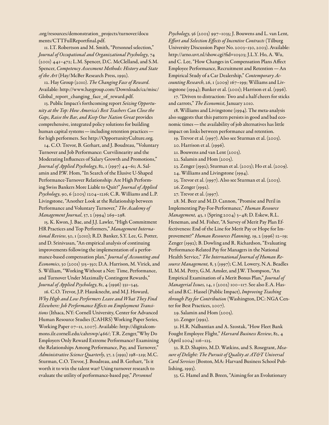[.org/resources/demonstration\\_projects/turnover/docu](http://www.nctaf.org/resources/demonstration_projects/turnover/documents/CTTFullReportfinal.pdf) [ments/CTTFullReportfinal.pdf](http://www.nctaf.org/resources/demonstration_projects/turnover/documents/CTTFullReportfinal.pdf).

11. I.T. Robertson and M. Smith, "Personnel selection," *Journal of Occupational and Organizational Psychology*, 74 (2001) 441–472; L.M. Spencer, D.C. McClelland, and S.M. Spencer, *Competency Assessment Methods: History and State of the Art* (Hay/McBer Research Press, 1992).

12. Hay Group (2010). *The Changing Face of Reward*. Available: [http://www.haygroup.com/Downloads/ca/misc/](http://www.haygroup.com/Downloads/ca/misc/Global_report_changing_face_of_reward.pdf) [Global\\_report\\_changing\\_face\\_of\\_reward.pdf.](http://www.haygroup.com/Downloads/ca/misc/Global_report_changing_face_of_reward.pdf)

13. Public Impact's forthcoming report *Seizing Opportunity at the Top: How America's Best Teachers Can Close the Gaps, Raise the Bar, and Keep Our Nation Great* provides comprehensive, integrated policy solutions for building human capital systems—including retention practices for high performers. See [http://OpportunityCulture.org.](http://OpportunityCulture.org)

14. C.O. Trevor, B. Gerhart, and J. Boudreau, "Voluntary Turnover and Job Performance: Curvilinearity and the Moderating Influences of Salary Growth and Promotions," *Journal of Applied Psychology*, 82, 1 (1997) 44–61; A. Salamin and P.W. Hom, "In Search of the Elusive U-Shaped Performance-Turnover Relationship: Are High Performing Swiss Bankers More Liable to Quit?" *Journal of Applied Psychology*, 90, 6 (2005) 1204–1216; C.R. Williams and L.P. Livingstone, "Another Look at the Relationship between Performance and Voluntary Turnover," *The Academy of Management Journal*, 37, 2 (1994) 269–298.

15. K. Kwon, J. Bae, and J.J. Lawler, "High Commitment HR Practices and Top Performers," *Management International Review*, 50, 1 (2010); R.D. Banker, S.Y. Lee, G. Potter, and D. Srinivasan, "An empirical analysis of continuing improvements following the implementation of a performance-based compensation plan," *Journal of Accounting and Economics*, 30 (2001) 315–350; D.A. Harrison, M. Virick, and S. William, "Working Without a Net: Time, Performance, and Turnover Under Maximally Contingent Rewards," *Journal of Applied Psychology*, 81, 4 (1996) 331–345.

16. C.O. Trevor, J.P. Hausknecht, and M.J. Howard, *Why High and Low Performers Leave and What They Find Elsewhere: Job Performance Effects on Employment Transitions* (Ithaca, NY: Cornell University, Center for Advanced Human Resource Studies (CAHRS) Working Paper Series, Working Paper 07–11, 2007). Available: [http://digitalcom](http://digitalcommons.ilr.cornell.edu/cahrswp/466/)[mons.ilr.cornell.edu/cahrswp/466/;](http://digitalcommons.ilr.cornell.edu/cahrswp/466/) T.R. Zenger,"Why Do Employers Only Reward Extreme Performance? Examining the Relationships Among Performance, Pay, and Turnover," *Administrative Science Quarterly*, 37, 2 (1992) 198–219; M.C. Sturman, C.O. Trevor, J. Boudreau, and B. Gerhart, "Is it worth it to win the talent war? Using turnover research to evaluate the utility of performance-based pay," *Personnel* 

*Psychology*, 56 (2003) 997–1035; J. Bouwens and L. van Lent, *Effort and Selection Effects of Incentive Contracts* (Tilburg University Discussion Paper No. 2003–130, 2003). Available: <http://arno.uvt.nl/show.cgi?fid=10503>; J.L.Y. Ho, A. Wu, and C. Lee, "How Changes in Compensation Plans Affect Employee Performance, Recruitment and Retention—An Empirical Study of a Car Dealership," *Contemporary Accounting Research*, 26, 1 (2009) 167–199; Williams and Livingstone (1994); Banker et al. (2001); Harrison et al. (1996).

17. "Driven to distraction: Two and a half cheers for sticks and carrots," *The Economist,* January 2010.

18. Williams and Livingstone (1994). The meta-analysis also suggests that this pattern persists in good and bad economic times—the availability of job alternatives has little impact on links between performance and retention.

19. Trevor et al. (1997). Also see Sturman et al. (2003).

20. Harrison et al. (1996).

21. Bouwens and van Lent (2003).

22. Salamin and Hom (2005).

23. Zenger (1992); Sturman et al. (2003); Ho et al. (2009).

24. Williams and Livingstone (1994).

25. Trevor et al. (1997). Also see Sturman et al. (2003).

26. Zenger (1992).

27. Trevor et al. (1997).

28. M. Beer and M.D. Cannon, "Promise and Peril in Implementing Pay-For-Performance," *Human Resource Management,* 43, 1 (Spring 2004) 3–48; D. Eskew, R.L. Heneman, and M. Fisher, "A Survey of Merit Pay Plan Effectiveness: End of the Line for Merit Pay or Hope for Improvement?" *Human Resources Planning,* 19, 2 (1996) 12–19; Zenger (1992); B. Dowling and R. Richardson, "Evaluating Performance-Related Pay for Managers in the National Health Service," *The International Journal of Human Resource Management,* 8, 3 (1997); C.M. Lowery, N.A. Beadles II, M.M. Petty, G.M. Amsler, and J.W. Thompson, "An Empirical Examination of a Merit Bonus Plan," *Journal of Managerial Issues,* 14, 1 (2002) 100–117. See also E.A. Hassel and B.C. Hassel (Public Impact), *Improving Teaching through Pay for Contribution* (Washington, DC: NGA Center for Best Practices, 2007).

29. Salamin and Hom (2005).

30. Zenger (1992).

31. H.R. Nalbantian and A. Szostak, "How Fleet Bank Fought Employee Flight," *Harvard Business Review*, 82, 4 (April 2004) 116–125.

32. R.D. Shapiro, M.D. Watkins, and S. Rosegrant, *Measure of Delight: The Pursuit of Quality at AT&T Universal Card Services* (Boston, MA: Harvard Business School Publishing, 1993).

33. G. Hamel and B. Breen, "Aiming for an Evolutionary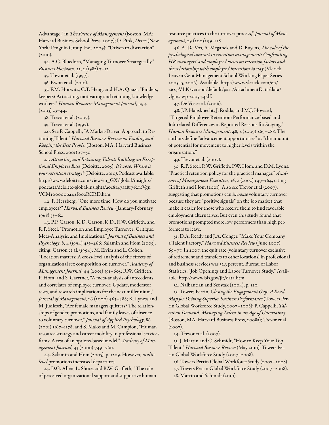Advantage," in *The Future of Management* (Boston, MA: Harvard Business School Press, 2007); D. Pink, *Drive* (New York: Penguin Group Inc., 2009); *"*Driven to distraction"  $(2010).$ 

34. A.C. Bluedorn, "Managing Turnover Strategically," *Business Horizons*, 25, 2 (1982) 7–12.

35. Trevor et al. (1997).

36. Kwon et al. (2010).

37. F.M. Horwitz, C.T. Heng, and H.A. Quazi, "Finders, keepers? Attracting, motivating and retaining knowledge workers," *Human Resource Management Journal*, 13, 4

 $(2003)$   $23 - 44$ .

38. Trevor et al. (2007).

39. Trevor et al. (1997).

40. See P. Cappelli, "A Market-Driven Approach to Retaining Talent," *Harvard Business Review on Finding and Keeping the Best People*, (Boston, MA: Harvard Business School Press, 2001) 27–50.

41. *Attracting and Retaining Talent: Building an Exceptional Employee Base* (Deloitte, 2005); *It's 2010: Where is your retention strategy?* (Deloitte, 2010). Podcast available: [http://www.deloitte.com/view/en\\_GX/global/insights/](http://www.deloitte.com/view/en_GX/global/insights/podcasts/deloitte-global-insights/a0e8147aa8176210VgnVCM100000ba42f00aRCRD.htm) [podcasts/deloitte-global-insights/a0e8147aa8176210Vgn](http://www.deloitte.com/view/en_GX/global/insights/podcasts/deloitte-global-insights/a0e8147aa8176210VgnVCM100000ba42f00aRCRD.htm) [VCM100000ba42f00aRCRD.htm.](http://www.deloitte.com/view/en_GX/global/insights/podcasts/deloitte-global-insights/a0e8147aa8176210VgnVCM100000ba42f00aRCRD.htm)

42. F. Herzberg, "One more time: How do you motivate employees?" *Harvard Business Review* (January-February 1968) 53–62.

43. P.P. Carson, K.D. Carson, K.D., R.W. Griffeth, and R.P. Steel, "Promotion and Employee Turnover: Critique, Meta-Analysis, and Implications," *Journal of Business and Psychology*, 8, 4 (1994) 455–466; Salamin and Hom (2005), citing: Carson et al. (1994); M. Elvira and L. Cohen, "Location matters: A cross-level analysis of the effects of organizational sex composition on turnover," *Academy of Management Journal*, 44 (2001) 591–605; R.W. Griffeth, P. Hom, and S. Gaertner, "A meta-analysis of antecedents and correlates of employee turnover: Update, moderator tests, and research implications for the next millennium," *Journal of Management*, 26 (2000) 463–488; K. Lyness and M. Judiesch, "Are female managers quitters? The relationships of gender, promotions, and family leaves of absence to voluntary turnover," *Journal of Applied Psychology*, 86 (2001) 1167–1178; and S. Malos and M. Campion, "Human resource strategy and career mobility in professional services firms: A test of an options-based model," *Academy of Management Journal*, 43 (2000) 749–760.

44. Salamin and Hom (2005), p. 1209. However, *multilevel* promotions increased departures.

45. D.G. Allen, L. Shore, and R.W. Griffeth, "The role of perceived organizational support and supportive human

resource practices in the turnover process," *Journal of Management*, 29 (2003) 99–118.

46. A. De Vos, A. Meganck and D. Buyens, *The role of the psychological contract in retention management: Confronting HR-managers' and employees' views on retention factors and the relationship with employees' intentions to stay* (Vlerick Leuven Gent Management School Working Paper Series 2005–5, 2006). Available: [http://www.vlerick.com/en/](http://www.vlerick.com/en/2623-VLK/version/default/part/AttachmentData/data/vlgms-wp-2005-5.pdf) [2623-VLK/version/default/part/AttachmentData/data/](http://www.vlerick.com/en/2623-VLK/version/default/part/AttachmentData/data/vlgms-wp-2005-5.pdf) [vlgms-wp-2005-5.pdf.](http://www.vlerick.com/en/2623-VLK/version/default/part/AttachmentData/data/vlgms-wp-2005-5.pdf)

47. De Vos et al. (2006).

48. J.P. Hausknecht, J. Rodda, and M.J. Howard, "Targeted Employee Retention: Performance-based and Job-related Differences in Reported Reasons for Staying," *Human Resource Management*, 48, 2 (2009) 269–288. The authors define "advancement opportunities" as "the amount of potential for movement to higher levels within the organization."

49. Trevor et al. (2007).

50. R.P. Steel, R.W. Griffeth, P.W. Hom, and D.M. Lyons, "Practical retention policy for the practical manager," *Academy of Management Executive*, 16, 2 (2002) 149–164, citing Griffeth and Hom (2001). Also see Trevor et al (2007), suggesting that promotions can *increase* voluntary turnover because they are "positive signals" on the job market that make it easier for those who receive them to find favorable employment alternatives. But even this study found that promotions prompted more low performers than high performers to leave.

51. D.A. Ready and J.A. Conger, "Make Your Company a Talent Factory," *Harvard Business Review* (June 2007), 69–77. In 2007, the quit rate (voluntary turnover exclusive of retirement and transfers to other locations) in professional and business services was 32.3 percent. Bureau of Labor Statistics. "Job Openings and Labor Turnover Study." Available: <http://www.bls.gov/jlt/data.htm>.

52. Nalbantian and Szostak (2004), p. 120.

53. Towers Perrin, *Closing the Engagement Gap: A Road Map for Driving Superior Business Performance* (Towers Perrin Global Workforce Study, 2007–2008); P. Cappelli, *Talent on Demand: Managing Talent in an Age of Uncertainty* (Boston, MA: Harvard Business Press, 2008a); Trevor et al.  $(2007)$ .

54. Trevor et al. (2007).

55. J. Martin and C. Schmidt, "How to Keep Your Top Talent," *Harvard Business Review* (May 2010); Towers Perrin Global Workforce Study (2007–2008).

56. Towers Perrin Global Workforce Study (2007–2008). 57. Towers Perrin Global Workforce Study (2007–2008).

58. Martin and Schmidt (2010).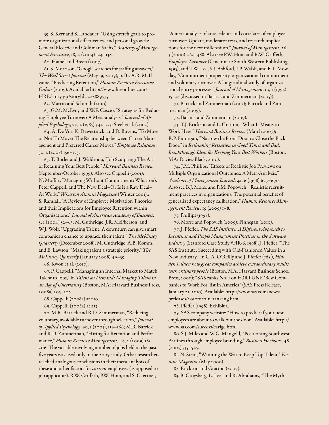59. S. Kerr and S. Landauer, "Using stretch goals to promote organizational effectiveness and personal growth: General Electric and Goldman Sachs," *Academy of Management Executive*, 18, 4 (2004) 134–138.

60. Hamel and Breen (2007).

61. S. Morrison, "Google searches for staffing answers," *The Wall Street Journal* (May 19, 2009), p. B1. A.R. McIlvaine, "Predicting Retention," *Human Resource Executive Online* (2009). Available: [http://www.hreonline.com/](http://www.hreonline.com/HRE/story.jsp?storyId=222889575) [HRE/story.jsp?storyId=222889575.](http://www.hreonline.com/HRE/story.jsp?storyId=222889575)

62. Martin and Schmidt (2010).

63. G.M. McEvoy and W.F. Cascio, "Strategies for Reducing Employee Turnover: A Meta-analysis," *Journal of Applied Psychology*, 70, 2 (1985) 342–353; Steel et al. (2002).

64. A. De Vos, K. Dewettinck, and D. Buyens, "To Move or Not To Move? The Relationship between Career Management and Preferred Career Moves," *Employee Relations*, 30, 2 (2008) 156–175.

65. T. Butler and J. Waldroop, "Job Sculpting: The Art of Retaining Your Best People," *Harvard Business Review*  (September-October 1999)*.* Also see Cappelli (2001); N. Moffitt, "Managing Without Commitment: Wharton's Peter Cappelli and The New Deal–Or Is It a Raw Deal– At Work," *Wharton Alumni Magazine* (Winter 2001).; S. Ramlall, "A Review of Employee Motivation Theories and their Implications for Employee Retention within Organizations," *Journal of American Academy of Business*, 5, 1 (2004) 52-63; M. Guthridge, J.R. McPherson, and W.J. Wolf, "Upgrading Talent: A downturn can give smart companies a chance to upgrade their talent," *The McKinsey Quarterly* (December 2008); M. Guthridge, A.B. Komm, and E. Lawson, "Making talent a strategic priority," *The McKinsey Quarterly* (January 2008) 49–59.

66. Kwon et al. (2010).

67. P. Cappelli, "Managing an Internal Market to Match Talent to Jobs," in *Talent on Demand: Managing Talent in an Age of Uncertainty* (Boston, MA: Harvard Business Press, 2008a) 205–228.

68. Cappelli (2008a) at 210.

69. Cappelli (2008a) at 213.

70. M.R. Barrick and R.D. Zimmerman, "Reducing voluntary, avoidable turnover through selection," *Journal of Applied Psychology*, 90, 1 (2005), 159–166; M.R. Barrick and R.D. Zimmerman, "Hiring for Retention and Performance," *Human Resource Management*, 48, 2 (2009) 183- 206. The variable involving number of jobs held in the past five years was used only in the 2009 study. Other researchers reached analogous conclusions in their meta-analysis of these and other factors for *current* employees (as opposed to job applicants). R.W. Griffeth, P.W. Hom, and S. Gaertner,

"A meta-analysis of antecedents and correlates of employee turnover: Update, moderator tests, and research implications for the next millennium," *Journal of Management*, 26, 3 (2000) 463–488. Also see P.W. Hom and R.W. Griffeth, *Employee Turnover* (Cincinnati: South-Western Publishing, 1995), and T.W. Lee, S.J. Ashford, J.P. Walsh, and R.T. Mowday, "Commitment propensity, organizational commitment, and voluntary turnover: A longitudinal study of organizational entry processes," *Journal of Management*, 10, 1 (1992) 15–32 (discussed in Barrick and Zimmerman (2005)).

71. Barrick and Zimmerman (2005); Barrick and Zimmerman (2009).

72. Barrick and Zimmerman (2009).

73. T.J. Erickson and L. Gratton, "What It Means to Work Here," *Harvard Business Review* (March 2007); R.P. Finnegan, "Narrow the Front Door to Close the Back Door," in *Rethinking Retention in Good Times and Bad: Breakthrough Ideas for Keeping Your Best Workers* (Boston, MA: Davies-Black, 2010).

74. J.M. Phillips, "Effects of Realistic Job Previews on Multiple Organizational Outcomes: A Meta-Analysis," *Academy of Management Journal*, 41, 6 (1998) 673–690. Also see B.J. Morse and P.M. Popovich, "Realistic recruitment practices in organizations: The potential benefits of generalized expectancy calibration," *Human Resource Management Review*, 19 (2009) 1–8.

75. Phillips (1998).

76. Morse and Popovich (2009); Finnegan (2010).

77. J. Pfeffer, *The SAS Institute: A Different Approach to Incentives and People Management Practices in the Software Industry* (Stanford Case Study #HR-6, 1998); J. Pfeffer, "The SAS Institute: Succeeding with Old-Fashioned Values in a New Industry," in C.A. O'Reilly and J. Pfeffer (eds.), *Hidden Values: how great companies achieve extraordinary results with ordinary people* (Boston, MA: Harvard Business School Press, 2000); "SAS ranks No. 1 on FORTUNE 'Best Companies to Work For' list in America" (SAS Press Release, January 21, 2010). Available: [http://www.sas.com/news/](http://www.sas.com/news/preleases/2010fortuneranking.html) [preleases/2010fortuneranking.html.](http://www.sas.com/news/preleases/2010fortuneranking.html)

78. Pfeffer (1998), Exhibit 3.

79. SAS company website: "How to predict if your best employees are about to walk out the door." Available: [http://](http://www.sas.com/success/carige.html) [www.sas.com/success/carige.html.](http://www.sas.com/success/carige.html)

80. S.J. Miles and W.G. Mangold, "Positioning Southwest Airlines through employee branding," *Business Horizons*, 48  $(2005)$  535–545.

81. N. Stein, "Winning the War to Keep Top Talent," *Fortune Magazine* (May 2000).

82. Erickson and Gratton (2007).

83. B. Groysberg, L. Lee, and R. Abrahams, "The Myth